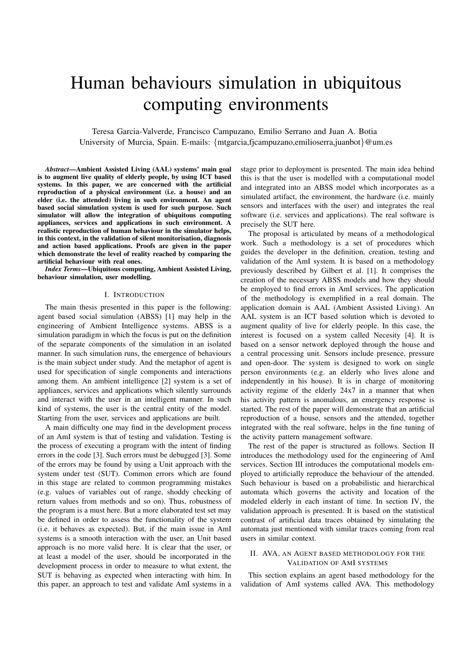# Human behaviours simulation in ubiquitous computing environments

Teresa Garcia-Valverde, Francisco Campuzano, Emilio Serrano and Juan A. Botia University of Murcia, Spain. E-mails: {mtgarcia,fjcampuzano,emilioserra,juanbot}@um.es

*Abstract*—Ambient Assisted Living (AAL) systems' main goal is to augment live quality of elderly people, by using ICT based systems. In this paper, we are concerned with the artificial reproduction of a physical environment (i.e. a house) and an elder (i.e. the attended) living in such environment. An agent based social simulation system is used for such purpose. Such simulator will allow the integration of ubiquitous computing appliances, services and applications in such environment. A realistic reproduction of human behaviour in the simulator helps, in this context, in the validation of silent monitorisation, diagnosis and action based applications. Proofs are given in the paper which demonstrate the level of reality reached by comparing the artificial behaviour with real ones.

*Index Terms*—Ubiquitous computing, Ambient Assisted Living, behaviour simulation, user modelling.

## I. INTRODUCTION

The main thesis presented in this paper is the following: agent based social simulation (ABSS) [1] may help in the engineering of Ambient Intelligence systems. ABSS is a simulation paradigm in which the focus is put on the definition of the separate components of the simulation in an isolated manner. In such simulation runs, the emergence of behaviours is the main subject under study. And the metaphor of agent is used for specification of single components and interactions among them. An ambient intelligence [2] system is a set of appliances, services and applications which silently surrounds and interact with the user in an intelligent manner. In such kind of systems, the user is the central entity of the model. Starting from the user, services and applications are built.

A main difficulty one may find in the development process of an AmI system is that of testing and validation. Testing is the process of executing a program with the intent of finding errors in the code [3]. Such errors must be debugged [3]. Some of the errors may be found by using a Unit approach with the system under test (SUT). Common errors which are found in this stage are related to common programming mistakes (e.g. values of variables out of range, shoddy checking of return values from methods and so on). Thus, robustness of the program is a must here. But a more elaborated test set may be defined in order to assess the functionality of the system (i.e. it behaves as expected). But, if the main issue in AmI systems is a smooth interaction with the user, an Unit based approach is no more valid here. It is clear that the user, or at least a model of the user, should be incorporated in the development process in order to measure to what extent, the SUT is behaving as expected when interacting with him. In this paper, an approach to test and validate AmI systems in a

stage prior to deployment is presented. The main idea behind this is that the user is modelled with a computational model and integrated into an ABSS model which incorporates as a simulated artifact, the environment, the hardware (i.e. mainly sensors and interfaces with the user) and integrates the real software (i.e. services and applications). The real software is precisely the SUT here.

The proposal is articulated by means of a methodological work. Such a methodology is a set of procedures which guides the developer in the definition, creation, testing and validation of the AmI system. It is based on a methodology previously described by Gilbert et al. [1]. It comprises the creation of the necessary ABSS models and how they should be employed to find errors in AmI services. The application of the methodology is exemplified in a real domain. The application domain is AAL (Ambient Assisted Living). An AAL system is an ICT based solution which is devoted to augment quality of live for elderly people. In this case, the interest is focused on a system called Necesity [4]. It is based on a sensor network deployed through the house and a central processing unit. Sensors include presence, pressure and open-door. The system is designed to work on single person environments (e.g. an elderly who lives alone and independently in his house). It is in charge of monitoring activity regime of the elderly 24x7 in a manner that when his activity pattern is anomalous, an emergency response is started. The rest of the paper will demonstrate that an artificial reproduction of a house, sensors and the attended, together integrated with the real software, helps in the fine tuning of the activity pattern management software.

The rest of the paper is structured as follows. Section II introduces the methodology used for the engineering of AmI services. Section III introduces the computational models employed to artificially reproduce the behaviour of the attended. Such behaviour is based on a probabilistic and hierarchical automata which governs the activity and location of the modeled elderly in each instant of time. In section IV, the validation approach is presented. It is based on the statistical contrast of artificial data traces obtained by simulating the automata just mentioned with similar traces coming from real users in similar context.

## II. AVA, AN AGENT BASED METHODOLOGY FOR THE VALIDATION OF AMI SYSTEMS

This section explains an agent based methodology for the validation of AmI systems called AVA. This methodology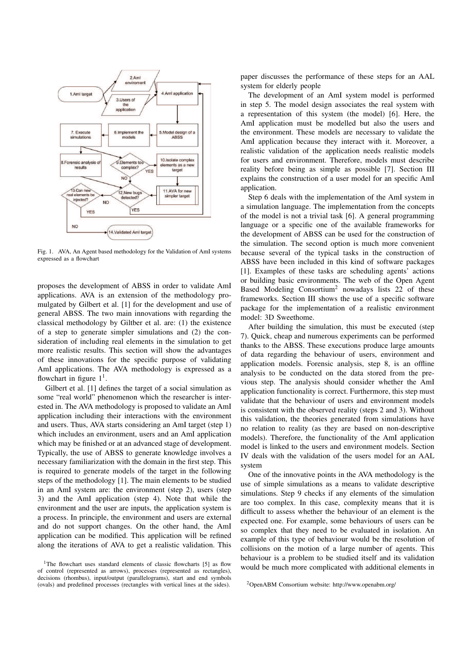

Fig. 1. AVA, An Agent based methodology for the Validation of AmI systems expressed as a flowchart

proposes the development of ABSS in order to validate AmI applications. AVA is an extension of the methodology promulgated by Gilbert et al. [1] for the development and use of general ABSS. The two main innovations with regarding the classical methodology by Giltber et al. are: (1) the existence of a step to generate simpler simulations and (2) the consideration of including real elements in the simulation to get more realistic results. This section will show the advantages of these innovations for the specific purpose of validating AmI applications. The AVA methodology is expressed as a flowchart in figure  $1<sup>1</sup>$ .

Gilbert et al. [1] defines the target of a social simulation as some "real world" phenomenon which the researcher is interested in. The AVA methodology is proposed to validate an AmI application including their interactions with the environment and users. Thus, AVA starts considering an AmI target (step 1) which includes an environment, users and an AmI application which may be finished or at an advanced stage of development. Typically, the use of ABSS to generate knowledge involves a necessary familiarization with the domain in the first step. This is required to generate models of the target in the following steps of the methodology [1]. The main elements to be studied in an AmI system are: the environment (step 2), users (step 3) and the AmI application (step 4). Note that while the environment and the user are inputs, the application system is a process. In principle, the environment and users are external and do not support changes. On the other hand, the AmI application can be modified. This application will be refined along the iterations of AVA to get a realistic validation. This paper discusses the performance of these steps for an AAL system for elderly people

The development of an AmI system model is performed in step 5. The model design associates the real system with a representation of this system (the model) [6]. Here, the AmI application must be modelled but also the users and the environment. These models are necessary to validate the AmI application because they interact with it. Moreover, a realistic validation of the application needs realistic models for users and environment. Therefore, models must describe reality before being as simple as possible [7]. Section III explains the construction of a user model for an specific AmI application.

Step 6 deals with the implementation of the AmI system in a simulation language. The implementation from the concepts of the model is not a trivial task [6]. A general programming language or a specific one of the available frameworks for the development of ABSS can be used for the construction of the simulation. The second option is much more convenient because several of the typical tasks in the construction of ABSS have been included in this kind of software packages [1]. Examples of these tasks are scheduling agents' actions or building basic environments. The web of the Open Agent Based Modeling Consortium<sup>2</sup> nowadays lists 22 of these frameworks. Section III shows the use of a specific software package for the implementation of a realistic environment model: 3D Sweethome.

After building the simulation, this must be executed (step 7). Quick, cheap and numerous experiments can be performed thanks to the ABSS. These executions produce large amounts of data regarding the behaviour of users, environment and application models. Forensic analysis, step 8, is an offline analysis to be conducted on the data stored from the previous step. The analysis should consider whether the AmI application functionality is correct. Furthermore, this step must validate that the behaviour of users and environment models is consistent with the observed reality (steps 2 and 3). Without this validation, the theories generated from simulations have no relation to reality (as they are based on non-descriptive models). Therefore, the functionality of the AmI application model is linked to the users and environment models. Section IV deals with the validation of the users model for an AAL system

One of the innovative points in the AVA methodology is the use of simple simulations as a means to validate descriptive simulations. Step 9 checks if any elements of the simulation are too complex. In this case, complexity means that it is difficult to assess whether the behaviour of an element is the expected one. For example, some behaviours of users can be so complex that they need to be evaluated in isolation. An example of this type of behaviour would be the resolution of collisions on the motion of a large number of agents. This behaviour is a problem to be studied itself and its validation would be much more complicated with additional elements in

<sup>&</sup>lt;sup>1</sup>The flowchart uses standard elements of classic flowcharts [5] as flow of control (represented as arrows), processes (represented as rectangles), decisions (rhombus), input/output (parallelograms), start and end symbols (ovals) and predefined processes (rectangles with vertical lines at the sides).

<sup>2</sup>OpenABM Consortium website: http://www.openabm.org/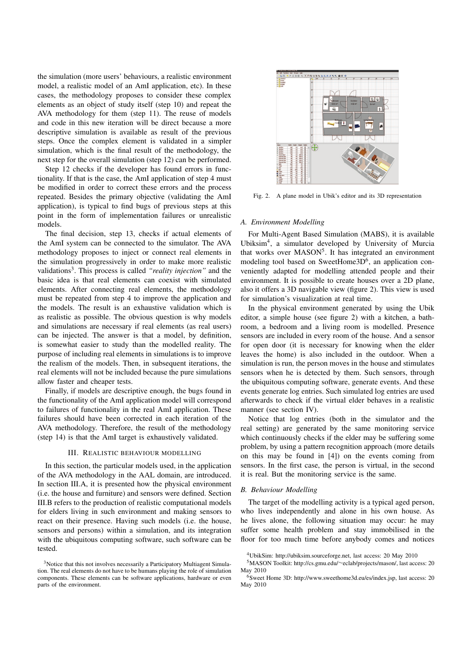the simulation (more users' behaviours, a realistic environment model, a realistic model of an AmI application, etc). In these cases, the methodology proposes to consider these complex elements as an object of study itself (step 10) and repeat the AVA methodology for them (step 11). The reuse of models and code in this new iteration will be direct because a more descriptive simulation is available as result of the previous steps. Once the complex element is validated in a simpler simulation, which is the final result of the methodology, the next step for the overall simulation (step 12) can be performed.

Step 12 checks if the developer has found errors in functionality. If that is the case, the AmI application of step 4 must be modified in order to correct these errors and the process repeated. Besides the primary objective (validating the AmI application), is typical to find bugs of previous steps at this point in the form of implementation failures or unrealistic models.

The final decision, step 13, checks if actual elements of the AmI system can be connected to the simulator. The AVA methodology proposes to inject or connect real elements in the simulation progressively in order to make more realistic validations<sup>3</sup>. This process is called "reality injection" and the basic idea is that real elements can coexist with simulated elements. After connecting real elements, the methodology must be repeated from step 4 to improve the application and the models. The result is an exhaustive validation which is as realistic as possible. The obvious question is why models and simulations are necessary if real elements (as real users) can be injected. The answer is that a model, by definition, is somewhat easier to study than the modelled reality. The purpose of including real elements in simulations is to improve the realism of the models. Then, in subsequent iterations, the real elements will not be included because the pure simulations allow faster and cheaper tests.

Finally, if models are descriptive enough, the bugs found in the functionality of the AmI application model will correspond to failures of functionality in the real AmI application. These failures should have been corrected in each iteration of the AVA methodology. Therefore, the result of the methodology (step 14) is that the AmI target is exhaustively validated.

#### III. REALISTIC BEHAVIOUR MODELLING

In this section, the particular models used, in the application of the AVA methodology in the AAL domain, are introduced. In section III.A, it is presented how the physical environment (i.e. the house and furniture) and sensors were defined. Section III.B refers to the production of realistic computational models for elders living in such environment and making sensors to react on their presence. Having such models (i.e. the house, sensors and persons) within a simulation, and its integration with the ubiquitous computing software, such software can be tested.



Fig. 2. A plane model in Ubik's editor and its 3D representation

## *A. Environment Modelling*

For Multi-Agent Based Simulation (MABS), it is available Ubiksim<sup>4</sup> , a simulator developed by University of Murcia that works over MASON<sup>5</sup>. It has integrated an environment modeling tool based on SweetHome3D<sup>6</sup>, an application conveniently adapted for modelling attended people and their environment. It is possible to create houses over a 2D plane, also it offers a 3D navigable view (figure 2). This view is used for simulation's visualization at real time.

In the physical environment generated by using the Ubik editor, a simple house (see figure 2) with a kitchen, a bathroom, a bedroom and a living room is modelled. Presence sensors are included in every room of the house. And a sensor for open door (it is necessary for knowing when the elder leaves the home) is also included in the outdoor. When a simulation is run, the person moves in the house and stimulates sensors when he is detected by them. Such sensors, through the ubiquitous computing software, generate events. And these events generate log entries. Such simulated log entries are used afterwards to check if the virtual elder behaves in a realistic manner (see section IV).

Notice that log entries (both in the simulator and the real setting) are generated by the same monitoring service which continuously checks if the elder may be suffering some problem, by using a pattern recognition approach (more details on this may be found in [4]) on the events coming from sensors. In the first case, the person is virtual, in the second it is real. But the monitoring service is the same.

## *B. Behaviour Modelling*

The target of the modelling activity is a typical aged person, who lives independently and alone in his own house. As he lives alone, the following situation may occur: he may suffer some health problem and stay immobilised in the floor for too much time before anybody comes and notices

<sup>&</sup>lt;sup>3</sup>Notice that this not involves necessarily a Participatory Multiagent Simulation. The real elements do not have to be humans playing the role of simulation components. These elements can be software applications, hardware or even parts of the environment.

<sup>4</sup>UbikSim: http://ubiksim.sourceforge.net, last access: 20 May 2010

<sup>5</sup>MASON Toolkit: http://cs.gmu.edu/∼eclab/projects/mason/, last access: 20 May 2010

<sup>6</sup>Sweet Home 3D: http://www.sweethome3d.eu/es/index.jsp, last access: 20 May 2010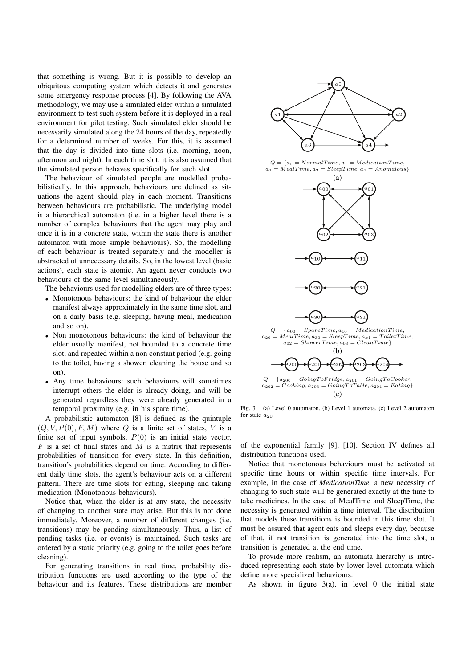that something is wrong. But it is possible to develop an ubiquitous computing system which detects it and generates some emergency response process [4]. By following the AVA methodology, we may use a simulated elder within a simulated environment to test such system before it is deployed in a real environment for pilot testing. Such simulated elder should be necessarily simulated along the 24 hours of the day, repeatedly for a determined number of weeks. For this, it is assumed that the day is divided into time slots (i.e. morning, noon, afternoon and night). In each time slot, it is also assumed that the simulated person behaves specifically for such slot.

The behaviour of simulated people are modelled probabilistically. In this approach, behaviours are defined as situations the agent should play in each moment. Transitions between behaviours are probabilistic. The underlying model is a hierarchical automaton (i.e. in a higher level there is a number of complex behaviours that the agent may play and once it is in a concrete state, within the state there is another automaton with more simple behaviours). So, the modelling of each behaviour is treated separately and the modeller is abstracted of unnecessary details. So, in the lowest level (basic actions), each state is atomic. An agent never conducts two behaviours of the same level simultaneously.

The behaviours used for modelling elders are of three types:

- Monotonous behaviours: the kind of behaviour the elder manifest always approximately in the same time slot, and on a daily basis (e.g. sleeping, having meal, medication and so on).
- Non monotonous behaviours: the kind of behaviour the elder usually manifest, not bounded to a concrete time slot, and repeated within a non constant period (e.g. going to the toilet, having a shower, cleaning the house and so on).
- Any time behaviours: such behaviours will sometimes interrupt others the elder is already doing, and will be generated regardless they were already generated in a temporal proximity (e.g. in his spare time).

A probabilistic automaton [8] is defined as the quintuple  $(Q, V, P(0), F, M)$  where Q is a finite set of states, V is a finite set of input symbols,  $P(0)$  is an initial state vector,  $F$  is a set of final states and  $\overline{M}$  is a matrix that represents probabilities of transition for every state. In this definition, transition's probabilities depend on time. According to different daily time slots, the agent's behaviour acts on a different pattern. There are time slots for eating, sleeping and taking medication (Monotonous behaviours).

Notice that, when the elder is at any state, the necessity of changing to another state may arise. But this is not done immediately. Moreover, a number of different changes (i.e. transitions) may be pending simultaneously. Thus, a list of pending tasks (i.e. or events) is maintained. Such tasks are ordered by a static priority (e.g. going to the toilet goes before cleaning).

For generating transitions in real time, probability distribution functions are used according to the type of the behaviour and its features. These distributions are member



 $Q = \{a_0 = NormalTime, a_1 = MedianTime,$  $a_2 = MealTime, a_3 = SleepTime, a_4 = Anomalous\}$ 



 $a_{20} = Nea^{i}Time, a_{30} = SleepTime, a_{x1} = ToiletTime,$  $a_{02} = ShowerTime, a_{03} = CleanTime\}$ (b)  $20$  $\overline{2}C$  $Q = \{a_{200} = GoingToFridge, a_{201} = GoingToCode,$ 

 $a_{202} = Cooking, a_{203} = GoingToTable, a_{204} = Eating$  $(c)$ 

Fig. 3. (a) Level 0 automaton, (b) Level 1 automata, (c) Level 2 automaton for state  $a_{20}$ 

of the exponential family [9], [10]. Section IV defines all distribution functions used.

Notice that monotonous behaviours must be activated at specific time hours or within specific time intervals. For example, in the case of *MedicationTime*, a new necessity of changing to such state will be generated exactly at the time to take medicines. In the case of MealTime and SleepTime, the necessity is generated within a time interval. The distribution that models these transitions is bounded in this time slot. It must be assured that agent eats and sleeps every day, because of that, if not transition is generated into the time slot, a transition is generated at the end time.

To provide more realism, an automata hierarchy is introduced representing each state by lower level automata which define more specialized behaviours.

As shown in figure  $3(a)$ , in level 0 the initial state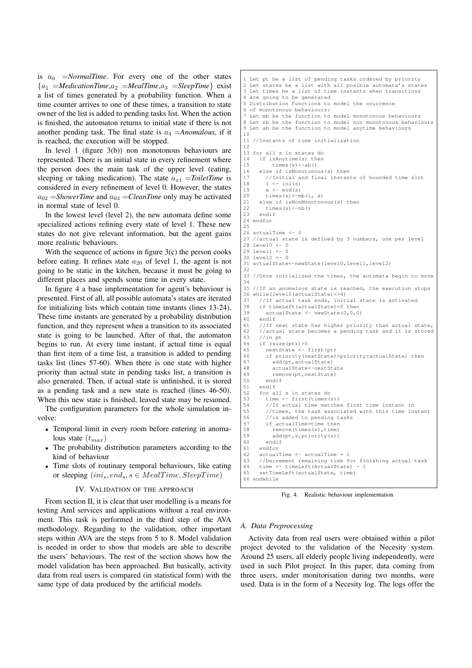is  $a_0$  =*NormalTime*. For every one of the other states  ${a_1 = \text{MedianTime}, a_2 = \text{MeanTime}, a_3 = \text{sleepTime}}$  exist a list of times generated by a probability function. When a time counter arrives to one of these times, a transition to state owner of the list is added to pending tasks list. When the action is finished, the automaton returns to initial state if there is not another pending task. The final state is  $a_4 = Anomalous$ , if it is reached, the execution will be stopped.

In level 1 (figure 3(b)) non monotonous behaviours are represented. There is an initial state in every refinement where the person does the main task of the upper level (eating, sleeping or taking medication). The state  $a_{x1} = ToiletTime$  is considered in every refinement of level 0. However, the states  $a_{02}$  = *ShowerTime* and  $a_{03}$  = *CleanTime* only may be activated in normal state of level 0.

In the lowest level (level 2), the new automata define some specialized actions refining every state of level 1. These new states do not give relevant information, but the agent gains more realistic behaviours.

With the sequence of actions in figure  $3(c)$  the person cooks before eating. It refines state  $a_{20}$  of level 1, the agent is not going to be static in the kitchen, because it must be going to different places and spends some time in every state.

In figure 4 a base implementation for agent's behaviour is presented. First of all, all possible automata's states are iterated for initializing lists which contain time instants (lines 13-24). These time instants are generated by a probability distribution function, and they represent when a transition to its associated state is going to be launched. After of that, the automaton begins to run. At every time instant, if actual time is equal than first item of a time list, a transition is added to pending tasks list (lines 57-60). When there is one state with higher priority than actual state in pending tasks list, a transition is also generated. Then, if actual state is unfinished, it is stored as a pending task and a new state is reached (lines 46-50). When this new state is finished, leaved state may be resumed.

The configuration parameters for the whole simulation involve:

- Temporal limit in every room before entering in anomalous state  $(t_{max})$
- The probability distribution parameters according to the kind of behaviour
- Time slots of routinary temporal behaviours, like eating or sleeping  $(ini<sub>s</sub>, end<sub>s</sub>, s \in MealTime, SleepTime)$

## IV. VALIDATION OF THE APPROACH

From section II, it is clear that user modelling is a means for testing AmI services and applications without a real environment. This task is performed in the third step of the AVA methodology. Regarding to the validation, other important steps within AVA are the steps from 5 to 8. Model validation is needed in order to show that models are able to describe the users' behaviours. The rest of the section shows how the model validation has been approached. But basically, activity data from real users is compared (in statistical form) with the same type of data produced by the artificial models.

```
1 Let pt be a list of pending tasks ordered by priority
2 Let states be a list with all posible automata's states
3 Let times be a list of time instants when transitions
4 are going to be generated
5 Distribution Functions to model the ocurrence
6 of monotonous behaviours:
7 Let mb be the function to model monotonous behaviours
8 Let nb be the function to model non monotonous behaviours
9 Let ab be the function to model anytime behaviours
10
11 //Instants of time initialization
12
13 for all s in states do
14 if isAnytime(s) then
15 times(s) <-ab()<br>16 else if is Monotono
16 else if isMonotonous(s) then<br>17 (Initial and final instant
         17 //Initial and final instants of bounded time slot
18 i <- ini(s)
19 e <- end(s)
20 times(s) <-mb(i, e)<br>21 else if isNonMonoton
      else if isNonMonotonous(s) then
22 \times times(s) <-nb()<br>23 endif
      endif
24 endfor
2526 actualTime \zeta = 027 //actual state is defined by 3 numbers, one per level
28 level0 <- 0
29 level1 <-030 level2 <- 0
31 actualState<-newState(level0,level1,level2)
32<br>33
   33 //Once initialized the times, the automata begin to move
34
35 //If an anomalous state is reached, the execution stops
36 while(level0(actualState)<>4)<br>37 //If actual task ends, init
37 //If actual task ends, initial state is activated<br>38 if timeLeft(actualState)=0 then
       if timeLeft(actualState)=0 then
39 actualState \leftarrow newState(0,0,0)<br>40 endif
40 endif<br>41 //If r
      //If next state has higher priority than actual state,
42 //actual state becomes a pending task and it is stored
43 //in pt
44 if (size(pt))>0<br>45 nextState \leq45 nextState <- first(pt)
46 if priority(nextState)>priority(actualState) then
            add(pt,actualState)
48 actualState<-nextState<br>49 remove(nt.nextState)
49 remove(pt,nextState)<br>50 endif
50 endif<br>51 endif
      endif
52 for all s in states do<br>53 time <- first (times (
53 time <- first(times(s))<br>54 //If actual time matche
54 //If actual time matches first time instant in<br>55 //times the task associated with this time in
         //times, the task associated with this time instant
56 //is added to pending tasks<br>57 if actualTime=time then
57 if actualTime=time then<br>58 memove (times (s), time)
58 remove(times(s),time)<br>59 add(pt,s,priority(s))
            add(pt,s,priority(s))
60 endif
61 endfor<br>62 actual
      actualTime <- actualTime + 1
63 //Decrement remaining time for finishing actual task<br>64 time \zeta- timeLeft (ActualState) - 1
64 time <- timeLeft(ActualState) - 1<br>65 setTimeLeft(actualState, time)
      setTimeLeft(actualState, time)
66 endwhile
```
Fig. 4. Realistic behaviour implementation

## *A. Data Preprocessing*

Activity data from real users were obtained within a pilot project devoted to the validation of the Necesity system. Around 25 users, all elderly people living independently, were used in such Pilot project. In this paper, data coming from three users, under monitorisation during two months, were used. Data is in the form of a Necesity log. The logs offer the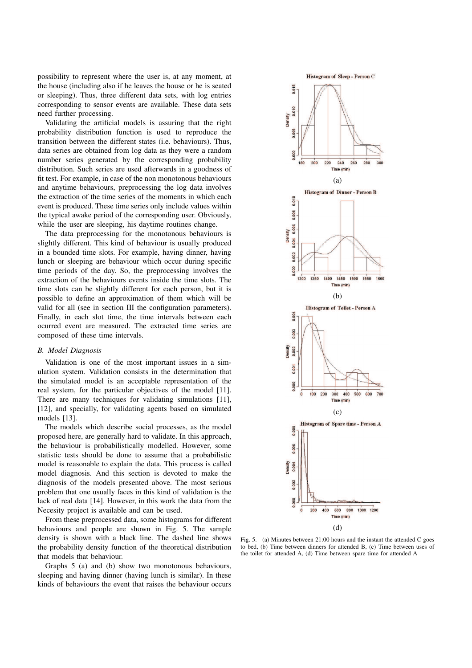possibility to represent where the user is, at any moment, at the house (including also if he leaves the house or he is seated or sleeping). Thus, three different data sets, with log entries corresponding to sensor events are available. These data sets need further processing.

Validating the artificial models is assuring that the right probability distribution function is used to reproduce the transition between the different states (i.e. behaviours). Thus, data series are obtained from log data as they were a random number series generated by the corresponding probability distribution. Such series are used afterwards in a goodness of fit test. For example, in case of the non monotonous behaviours and anytime behaviours, preprocessing the log data involves the extraction of the time series of the moments in which each event is produced. These time series only include values within the typical awake period of the corresponding user. Obviously, while the user are sleeping, his daytime routines change.

The data preprocessing for the monotonous behaviours is slightly different. This kind of behaviour is usually produced in a bounded time slots. For example, having dinner, having lunch or sleeping are behaviour which occur during specific time periods of the day. So, the preprocessing involves the extraction of the behaviours events inside the time slots. The time slots can be slightly different for each person, but it is possible to define an approximation of them which will be valid for all (see in section III the configuration parameters). Finally, in each slot time, the time intervals between each ocurred event are measured. The extracted time series are composed of these time intervals.

## *B. Model Diagnosis*

Validation is one of the most important issues in a simulation system. Validation consists in the determination that the simulated model is an acceptable representation of the real system, for the particular objectives of the model [11]. There are many techniques for validating simulations [11], [12], and specially, for validating agents based on simulated models [13].

The models which describe social processes, as the model proposed here, are generally hard to validate. In this approach, the behaviour is probabilistically modelled. However, some statistic tests should be done to assume that a probabilistic model is reasonable to explain the data. This process is called model diagnosis. And this section is devoted to make the diagnosis of the models presented above. The most serious problem that one usually faces in this kind of validation is the lack of real data [14]. However, in this work the data from the Necesity project is available and can be used.

From these preprocessed data, some histograms for different behaviours and people are shown in Fig. 5. The sample density is shown with a black line. The dashed line shows the probability density function of the theoretical distribution that models that behaviour.

Graphs 5 (a) and (b) show two monotonous behaviours, sleeping and having dinner (having lunch is similar). In these kinds of behaviours the event that raises the behaviour occurs



Fig. 5. (a) Minutes between 21:00 hours and the instant the attended C goes to bed, (b) Time between dinners for attended B, (c) Time between uses of the toilet for attended A, (d) Time between spare time for attended A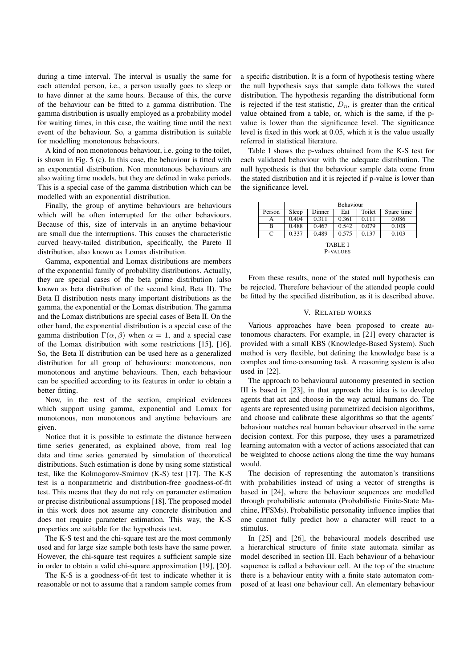during a time interval. The interval is usually the same for each attended person, i.e., a person usually goes to sleep or to have dinner at the same hours. Because of this, the curve of the behaviour can be fitted to a gamma distribution. The gamma distribution is usually employed as a probability model for waiting times, in this case, the waiting time until the next event of the behaviour. So, a gamma distribution is suitable for modelling monotonous behaviours.

A kind of non monotonous behaviour, i.e. going to the toilet, is shown in Fig. 5 (c). In this case, the behaviour is fitted with an exponential distribution. Non monotonous behaviours are also waiting time models, but they are defined in wake periods. This is a special case of the gamma distribution which can be modelled with an exponential distribution.

Finally, the group of anytime behaviours are behaviours which will be often interrupted for the other behaviours. Because of this, size of intervals in an anytime behaviour are small due the interruptions. This causes the characteristic curved heavy-tailed distribution, specifically, the Pareto II distribution, also known as Lomax distribution.

Gamma, exponential and Lomax distributions are members of the exponential family of probability distributions. Actually, they are special cases of the beta prime distribution (also known as beta distribution of the second kind, Beta II). The Beta II distribution nests many important distributions as the gamma, the exponential or the Lomax distribution. The gamma and the Lomax distributions are special cases of Beta II. On the other hand, the exponential distribution is a special case of the gamma distribution  $\Gamma(\alpha, \beta)$  when  $\alpha = 1$ , and a special case of the Lomax distribution with some restrictions [15], [16]. So, the Beta II distribution can be used here as a generalized distribution for all group of behaviours: monotonous, non monotonous and anytime behaviours. Then, each behaviour can be specified according to its features in order to obtain a better fitting.

Now, in the rest of the section, empirical evidences which support using gamma, exponential and Lomax for monotonous, non monotonous and anytime behaviours are given.

Notice that it is possible to estimate the distance between time series generated, as explained above, from real log data and time series generated by simulation of theoretical distributions. Such estimation is done by using some statistical test, like the Kolmogorov-Smirnov (K-S) test [17]. The K-S test is a nonparametric and distribution-free goodness-of-fit test. This means that they do not rely on parameter estimation or precise distributional assumptions [18]. The proposed model in this work does not assume any concrete distribution and does not require parameter estimation. This way, the K-S properties are suitable for the hypothesis test.

The K-S test and the chi-square test are the most commonly used and for large size sample both tests have the same power. However, the chi-square test requires a sufficient sample size in order to obtain a valid chi-square approximation [19], [20].

The K-S is a goodness-of-fit test to indicate whether it is reasonable or not to assume that a random sample comes from a specific distribution. It is a form of hypothesis testing where the null hypothesis says that sample data follows the stated distribution. The hypothesis regarding the distributional form is rejected if the test statistic,  $D_n$ , is greater than the critical value obtained from a table, or, which is the same, if the pvalue is lower than the significance level. The significance level is fixed in this work at 0.05, which it is the value usually referred in statistical literature.

Table I shows the p-values obtained from the K-S test for each validated behaviour with the adequate distribution. The null hypothesis is that the behaviour sample data come from the stated distribution and it is rejected if p-value is lower than the significance level.

|         | <b>Behaviour</b> |        |       |        |            |
|---------|------------------|--------|-------|--------|------------|
| Person  | Sleep            | Dinner | Eat   | Toilet | Spare time |
| А       | 0.404            | 0.311  | 0.361 | 0.111  | 0.086      |
| в       | 0.488            | 0.467  | 0.542 | 0.079  | 0.108      |
| C       | 0.337            | 0.489  | 0.575 | 0.137  | 0.103      |
| TABLE I |                  |        |       |        |            |

P-VALUES

From these results, none of the stated null hypothesis can be rejected. Therefore behaviour of the attended people could be fitted by the specified distribution, as it is described above.

## V. RELATED WORKS

Various approaches have been proposed to create autonomous characters. For example, in [21] every character is provided with a small KBS (Knowledge-Based System). Such method is very flexible, but defining the knowledge base is a complex and time-consuming task. A reasoning system is also used in [22].

The approach to behavioural autonomy presented in section III is based in [23], in that approach the idea is to develop agents that act and choose in the way actual humans do. The agents are represented using parametrized decision algorithms, and choose and calibrate these algorithms so that the agents' behaviour matches real human behaviour observed in the same decision context. For this purpose, they uses a parametrized learning automaton with a vector of actions associated that can be weighted to choose actions along the time the way humans would.

The decision of representing the automaton's transitions with probabilities instead of using a vector of strengths is based in [24], where the behaviour sequences are modelled through probabilistic automata (Probabilistic Finite-State Machine, PFSMs). Probabilistic personality influence implies that one cannot fully predict how a character will react to a stimulus.

In [25] and [26], the behavioural models described use a hierarchical structure of finite state automata similar as model described in section III. Each behaviour of a behaviour sequence is called a behaviour cell. At the top of the structure there is a behaviour entity with a finite state automaton composed of at least one behaviour cell. An elementary behaviour